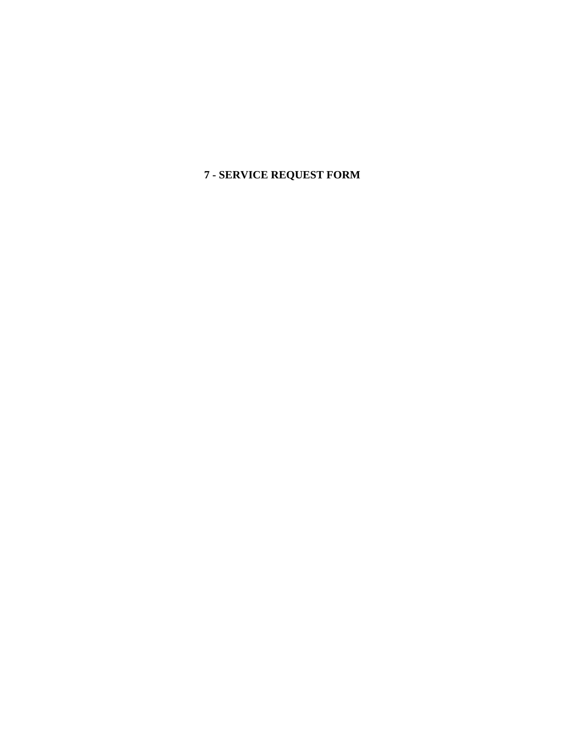**7 - SERVICE REQUEST FORM**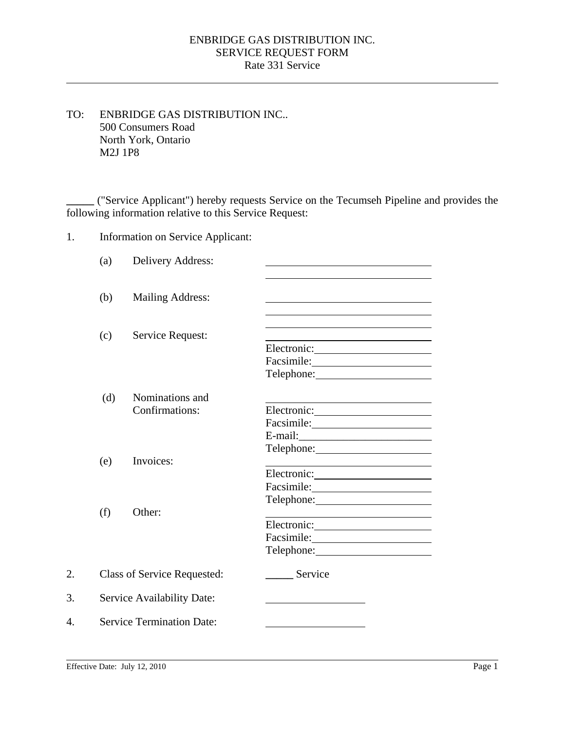## SERVICE REQUEST FORM Rate 331 Service ENBRIDGE GAS DISTRIBUTION INC.

TO: ENBRIDGE GAS DISTRIBUTION INC.. 500 Consumers Road North York, Ontario M2J 1P8

**\_\_\_\_\_** ("Service Applicant") hereby requests Service on the Tecumseh Pipeline and provides the following information relative to this Service Request:

1. Information on Service Applicant:

|    | (a)                                                              | Delivery Address:                 |                                                                                                                       |  |
|----|------------------------------------------------------------------|-----------------------------------|-----------------------------------------------------------------------------------------------------------------------|--|
|    | (b)                                                              | <b>Mailing Address:</b>           |                                                                                                                       |  |
|    | (c)                                                              | Service Request:                  |                                                                                                                       |  |
|    |                                                                  |                                   | Telephone: 2000                                                                                                       |  |
|    | (d)                                                              | Nominations and<br>Confirmations: | <u> 1989 - Johann Barn, mars eta bainar eta bainar eta baina eta baina eta baina eta baina eta baina eta baina e</u>  |  |
|    |                                                                  |                                   |                                                                                                                       |  |
|    | (e)                                                              | Invoices:                         |                                                                                                                       |  |
|    |                                                                  |                                   |                                                                                                                       |  |
|    | (f)                                                              | Other:                            | <u> 1989 - Johann Barn, mars ann an t-Amhain an t-Amhain an t-Amhain an t-Amhain an t-Amhain an t-Amhain an t-Amh</u> |  |
|    |                                                                  |                                   |                                                                                                                       |  |
| 2. |                                                                  |                                   | Telephone: 2000<br>Service                                                                                            |  |
| 3. | <b>Class of Service Requested:</b><br>Service Availability Date: |                                   |                                                                                                                       |  |
| 4. |                                                                  | <b>Service Termination Date:</b>  |                                                                                                                       |  |
|    |                                                                  |                                   |                                                                                                                       |  |